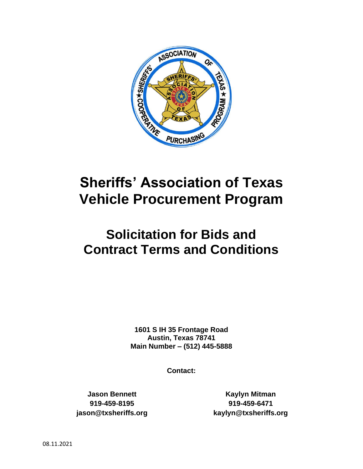

# **Sheriffs' Association of Texas Vehicle Procurement Program**

# **Solicitation for Bids and Contract Terms and Conditions**

**1601 S IH 35 Frontage Road Austin, Texas 78741 Main Number – [\(512\) 445-5888](https://www.google.com/search?rlz=1C1GCEA_enUS844US845&ei=IUfcXPqNCKi7ggfEzpD4Dg&q=texas+sheriff+association+mailing+address&oq=texas+sheriff+association+mailing+address&gs_l=psy-ab.3..33i299.19571.22379..22870...0.0..0.154.1400.13j3......0....1..gws-wiz.......0i71j0j0i22i10i30j33i22i29i30j0i22i30j33i160.7e7_EFXm7Hw)**

**Contact:**

**Jason Bennett 919-459-8195 jason@txsheriffs.org**

**Kaylyn Mitman 919-459-6471 kaylyn@txsheriffs.org**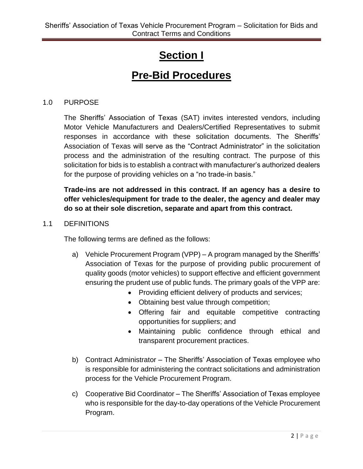# **Section I**

# **Pre-Bid Procedures**

#### 1.0 PURPOSE

The Sheriffs' Association of Texas (SAT) invites interested vendors, including Motor Vehicle Manufacturers and Dealers/Certified Representatives to submit responses in accordance with these solicitation documents. The Sheriffs' Association of Texas will serve as the "Contract Administrator" in the solicitation process and the administration of the resulting contract. The purpose of this solicitation for bids is to establish a contract with manufacturer's authorized dealers for the purpose of providing vehicles on a "no trade-in basis."

**Trade-ins are not addressed in this contract. If an agency has a desire to offer vehicles/equipment for trade to the dealer, the agency and dealer may do so at their sole discretion, separate and apart from this contract.** 

#### 1.1 DEFINITIONS

The following terms are defined as the follows:

- a) Vehicle Procurement Program (VPP) A program managed by the Sheriffs' Association of Texas for the purpose of providing public procurement of quality goods (motor vehicles) to support effective and efficient government ensuring the prudent use of public funds. The primary goals of the VPP are:
	- Providing efficient delivery of products and services;
	- Obtaining best value through competition;
	- Offering fair and equitable competitive contracting opportunities for suppliers; and
	- Maintaining public confidence through ethical and transparent procurement practices.
- b) Contract Administrator The Sheriffs' Association of Texas employee who is responsible for administering the contract solicitations and administration process for the Vehicle Procurement Program.
- c) Cooperative Bid Coordinator The Sheriffs' Association of Texas employee who is responsible for the day-to-day operations of the Vehicle Procurement Program.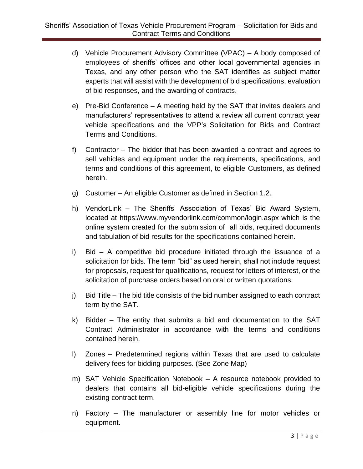- d) Vehicle Procurement Advisory Committee (VPAC) A body composed of employees of sheriffs' offices and other local governmental agencies in Texas, and any other person who the SAT identifies as subject matter experts that will assist with the development of bid specifications, evaluation of bid responses, and the awarding of contracts.
- e) Pre-Bid Conference A meeting held by the SAT that invites dealers and manufacturers' representatives to attend a review all current contract year vehicle specifications and the VPP's Solicitation for Bids and Contract Terms and Conditions.
- f) Contractor The bidder that has been awarded a contract and agrees to sell vehicles and equipment under the requirements, specifications, and terms and conditions of this agreement, to eligible Customers, as defined herein.
- g) Customer An eligible Customer as defined in Section 1.2.
- h) VendorLink The Sheriffs' Association of Texas' Bid Award System, located at https://www.myvendorlink.com/common/login.aspx which is the online system created for the submission of all bids, required documents and tabulation of bid results for the specifications contained herein.
- i) Bid A competitive bid procedure initiated through the issuance of a solicitation for bids. The term "bid" as used herein, shall not include request for proposals, request for qualifications, request for letters of interest, or the solicitation of purchase orders based on oral or written quotations.
- j) Bid Title The bid title consists of the bid number assigned to each contract term by the SAT.
- k) Bidder The entity that submits a bid and documentation to the SAT Contract Administrator in accordance with the terms and conditions contained herein.
- l) Zones Predetermined regions within Texas that are used to calculate delivery fees for bidding purposes. (See Zone Map)
- m) SAT Vehicle Specification Notebook A resource notebook provided to dealers that contains all bid-eligible vehicle specifications during the existing contract term.
- n) Factory The manufacturer or assembly line for motor vehicles or equipment.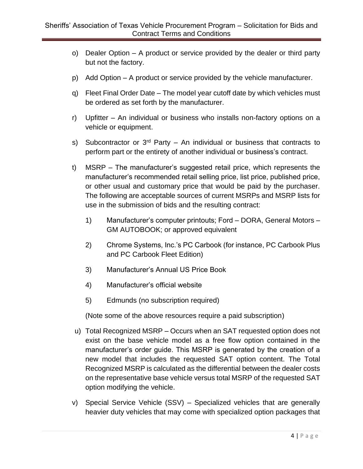- o) Dealer Option A product or service provided by the dealer or third party but not the factory.
- p) Add Option A product or service provided by the vehicle manufacturer.
- q) Fleet Final Order Date The model year cutoff date by which vehicles must be ordered as set forth by the manufacturer.
- r) Upfitter An individual or business who installs non-factory options on a vehicle or equipment.
- s) Subcontractor or  $3<sup>rd</sup>$  Party An individual or business that contracts to perform part or the entirety of another individual or business's contract.
- t) MSRP The manufacturer's suggested retail price, which represents the manufacturer's recommended retail selling price, list price, published price, or other usual and customary price that would be paid by the purchaser. The following are acceptable sources of current MSRPs and MSRP lists for use in the submission of bids and the resulting contract:
	- 1) Manufacturer's computer printouts; Ford DORA, General Motors GM AUTOBOOK; or approved equivalent
	- 2) Chrome Systems, Inc.'s PC Carbook (for instance, PC Carbook Plus and PC Carbook Fleet Edition)
	- 3) Manufacturer's Annual US Price Book
	- 4) Manufacturer's official website
	- 5) Edmunds (no subscription required)

(Note some of the above resources require a paid subscription)

- u) Total Recognized MSRP Occurs when an SAT requested option does not exist on the base vehicle model as a free flow option contained in the manufacturer's order guide. This MSRP is generated by the creation of a new model that includes the requested SAT option content. The Total Recognized MSRP is calculated as the differential between the dealer costs on the representative base vehicle versus total MSRP of the requested SAT option modifying the vehicle.
- v) Special Service Vehicle (SSV) Specialized vehicles that are generally heavier duty vehicles that may come with specialized option packages that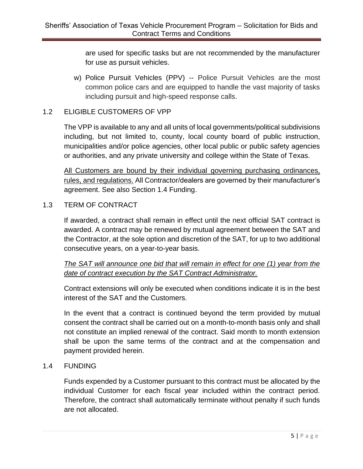are used for specific tasks but are not recommended by the manufacturer for use as pursuit vehicles.

 w) Police Pursuit Vehicles (PPV) -- Police Pursuit Vehicles are the most common police cars and are equipped to handle the vast majority of tasks including pursuit and high-speed response calls.

### 1.2 ELIGIBLE CUSTOMERS OF VPP

The VPP is available to any and all units of local governments/political subdivisions including, but not limited to, county, local county board of public instruction, municipalities and/or police agencies, other local public or public safety agencies or authorities, and any private university and college within the State of Texas.

All Customers are bound by their individual governing purchasing ordinances, rules, and regulations. All Contractor/dealers are governed by their manufacturer's agreement. See also Section 1.4 Funding.

#### 1.3 TERM OF CONTRACT

If awarded, a contract shall remain in effect until the next official SAT contract is awarded. A contract may be renewed by mutual agreement between the SAT and the Contractor, at the sole option and discretion of the SAT, for up to two additional consecutive years, on a year-to-year basis.

*The SAT will announce one bid that will remain in effect for one (1) year from the date of contract execution by the SAT Contract Administrator.* 

Contract extensions will only be executed when conditions indicate it is in the best interest of the SAT and the Customers.

In the event that a contract is continued beyond the term provided by mutual consent the contract shall be carried out on a month-to-month basis only and shall not constitute an implied renewal of the contract. Said month to month extension shall be upon the same terms of the contract and at the compensation and payment provided herein.

#### 1.4 FUNDING

Funds expended by a Customer pursuant to this contract must be allocated by the individual Customer for each fiscal year included within the contract period. Therefore, the contract shall automatically terminate without penalty if such funds are not allocated.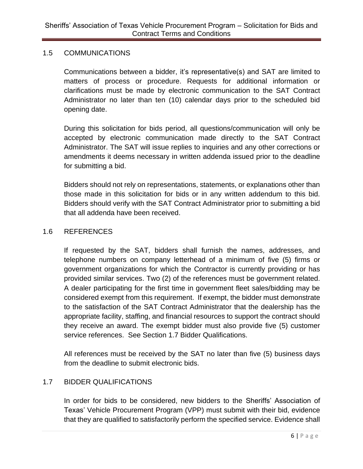#### 1.5 COMMUNICATIONS

Communications between a bidder, it's representative(s) and SAT are limited to matters of process or procedure. Requests for additional information or clarifications must be made by electronic communication to the SAT Contract Administrator no later than ten (10) calendar days prior to the scheduled bid opening date.

During this solicitation for bids period, all questions/communication will only be accepted by electronic communication made directly to the SAT Contract Administrator. The SAT will issue replies to inquiries and any other corrections or amendments it deems necessary in written addenda issued prior to the deadline for submitting a bid.

Bidders should not rely on representations, statements, or explanations other than those made in this solicitation for bids or in any written addendum to this bid. Bidders should verify with the SAT Contract Administrator prior to submitting a bid that all addenda have been received.

#### 1.6 REFERENCES

If requested by the SAT, bidders shall furnish the names, addresses, and telephone numbers on company letterhead of a minimum of five (5) firms or government organizations for which the Contractor is currently providing or has provided similar services. Two (2) of the references must be government related. A dealer participating for the first time in government fleet sales/bidding may be considered exempt from this requirement. If exempt, the bidder must demonstrate to the satisfaction of the SAT Contract Administrator that the dealership has the appropriate facility, staffing, and financial resources to support the contract should they receive an award. The exempt bidder must also provide five (5) customer service references. See Section 1.7 Bidder Qualifications.

All references must be received by the SAT no later than five (5) business days from the deadline to submit electronic bids.

# 1.7 BIDDER QUALIFICATIONS

In order for bids to be considered, new bidders to the Sheriffs' Association of Texas' Vehicle Procurement Program (VPP) must submit with their bid, evidence that they are qualified to satisfactorily perform the specified service. Evidence shall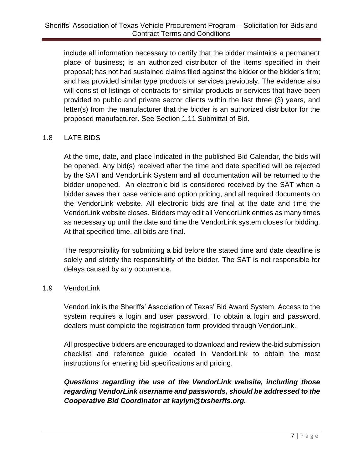include all information necessary to certify that the bidder maintains a permanent place of business; is an authorized distributor of the items specified in their proposal; has not had sustained claims filed against the bidder or the bidder's firm; and has provided similar type products or services previously. The evidence also will consist of listings of contracts for similar products or services that have been provided to public and private sector clients within the last three (3) years, and letter(s) from the manufacturer that the bidder is an authorized distributor for the proposed manufacturer. See Section 1.11 Submittal of Bid.

# 1.8 LATE BIDS

At the time, date, and place indicated in the published Bid Calendar, the bids will be opened. Any bid(s) received after the time and date specified will be rejected by the SAT and VendorLink System and all documentation will be returned to the bidder unopened. An electronic bid is considered received by the SAT when a bidder saves their base vehicle and option pricing, and all required documents on the VendorLink website. All electronic bids are final at the date and time the VendorLink website closes. Bidders may edit all VendorLink entries as many times as necessary up until the date and time the VendorLink system closes for bidding. At that specified time, all bids are final.

The responsibility for submitting a bid before the stated time and date deadline is solely and strictly the responsibility of the bidder. The SAT is not responsible for delays caused by any occurrence.

#### 1.9 VendorLink

VendorLink is the Sheriffs' Association of Texas' Bid Award System. Access to the system requires a login and user password. To obtain a login and password, dealers must complete the registration form provided through VendorLink.

All prospective bidders are encouraged to download and review the bid submission checklist and reference guide located in VendorLink to obtain the most instructions for entering bid specifications and pricing.

# *Questions regarding the use of the VendorLink website, including those regarding VendorLink username and passwords, should be addressed to the Cooperative Bid Coordinator at kaylyn@txsherffs.org.*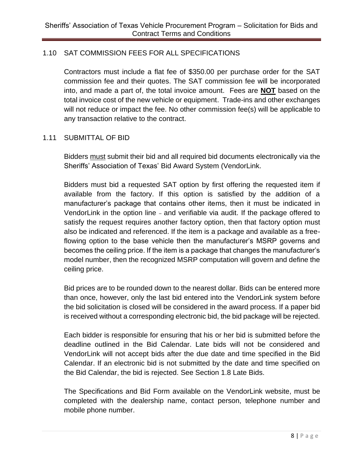# 1.10 SAT COMMISSION FEES FOR ALL SPECIFICATIONS

Contractors must include a flat fee of \$350.00 per purchase order for the SAT commission fee and their quotes. The SAT commission fee will be incorporated into, and made a part of, the total invoice amount. Fees are **NOT** based on the total invoice cost of the new vehicle or equipment. Trade-ins and other exchanges will not reduce or impact the fee. No other commission fee(s) will be applicable to any transaction relative to the contract.

#### 1.11 SUBMITTAL OF BID

Bidders must submit their bid and all required bid documents electronically via the Sheriffs' Association of Texas' Bid Award System (VendorLink.

Bidders must bid a requested SAT option by first offering the requested item if available from the factory. If this option is satisfied by the addition of a manufacturer's package that contains other items, then it must be indicated in VendorLink in the option line - and verifiable via audit. If the package offered to satisfy the request requires another factory option, then that factory option must also be indicated and referenced. If the item is a package and available as a freeflowing option to the base vehicle then the manufacturer's MSRP governs and becomes the ceiling price. If the item is a package that changes the manufacturer's model number, then the recognized MSRP computation will govern and define the ceiling price.

Bid prices are to be rounded down to the nearest dollar. Bids can be entered more than once, however, only the last bid entered into the VendorLink system before the bid solicitation is closed will be considered in the award process. If a paper bid is received without a corresponding electronic bid, the bid package will be rejected.

Each bidder is responsible for ensuring that his or her bid is submitted before the deadline outlined in the Bid Calendar. Late bids will not be considered and VendorLink will not accept bids after the due date and time specified in the Bid Calendar. If an electronic bid is not submitted by the date and time specified on the Bid Calendar, the bid is rejected. See Section 1.8 Late Bids.

The Specifications and Bid Form available on the VendorLink website, must be completed with the dealership name, contact person, telephone number and mobile phone number.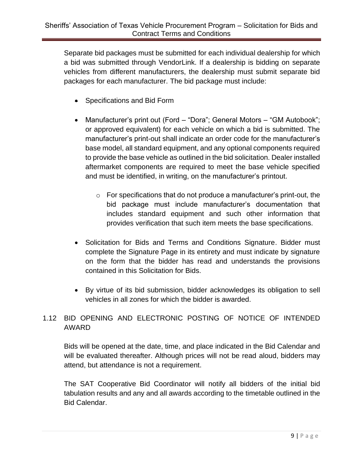Separate bid packages must be submitted for each individual dealership for which a bid was submitted through VendorLink. If a dealership is bidding on separate vehicles from different manufacturers, the dealership must submit separate bid packages for each manufacturer. The bid package must include:

- Specifications and Bid Form
- Manufacturer's print out (Ford "Dora"; General Motors "GM Autobook"; or approved equivalent) for each vehicle on which a bid is submitted. The manufacturer's print-out shall indicate an order code for the manufacturer's base model, all standard equipment, and any optional components required to provide the base vehicle as outlined in the bid solicitation. Dealer installed aftermarket components are required to meet the base vehicle specified and must be identified, in writing, on the manufacturer's printout.
	- o For specifications that do not produce a manufacturer's print-out, the bid package must include manufacturer's documentation that includes standard equipment and such other information that provides verification that such item meets the base specifications.
- Solicitation for Bids and Terms and Conditions Signature. Bidder must complete the Signature Page in its entirety and must indicate by signature on the form that the bidder has read and understands the provisions contained in this Solicitation for Bids.
- By virtue of its bid submission, bidder acknowledges its obligation to sell vehicles in all zones for which the bidder is awarded.

# 1.12 BID OPENING AND ELECTRONIC POSTING OF NOTICE OF INTENDED AWARD

Bids will be opened at the date, time, and place indicated in the Bid Calendar and will be evaluated thereafter. Although prices will not be read aloud, bidders may attend, but attendance is not a requirement.

The SAT Cooperative Bid Coordinator will notify all bidders of the initial bid tabulation results and any and all awards according to the timetable outlined in the Bid Calendar.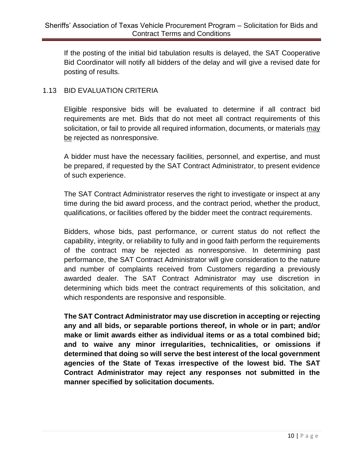If the posting of the initial bid tabulation results is delayed, the SAT Cooperative Bid Coordinator will notify all bidders of the delay and will give a revised date for posting of results.

#### 1.13 BID EVALUATION CRITERIA

Eligible responsive bids will be evaluated to determine if all contract bid requirements are met. Bids that do not meet all contract requirements of this solicitation, or fail to provide all required information, documents, or materials may be rejected as nonresponsive.

A bidder must have the necessary facilities, personnel, and expertise, and must be prepared, if requested by the SAT Contract Administrator, to present evidence of such experience.

The SAT Contract Administrator reserves the right to investigate or inspect at any time during the bid award process, and the contract period, whether the product, qualifications, or facilities offered by the bidder meet the contract requirements.

Bidders, whose bids, past performance, or current status do not reflect the capability, integrity, or reliability to fully and in good faith perform the requirements of the contract may be rejected as nonresponsive. In determining past performance, the SAT Contract Administrator will give consideration to the nature and number of complaints received from Customers regarding a previously awarded dealer. The SAT Contract Administrator may use discretion in determining which bids meet the contract requirements of this solicitation, and which respondents are responsive and responsible.

**The SAT Contract Administrator may use discretion in accepting or rejecting any and all bids, or separable portions thereof, in whole or in part; and/or make or limit awards either as individual items or as a total combined bid; and to waive any minor irregularities, technicalities, or omissions if determined that doing so will serve the best interest of the local government agencies of the State of Texas irrespective of the lowest bid. The SAT Contract Administrator may reject any responses not submitted in the manner specified by solicitation documents.**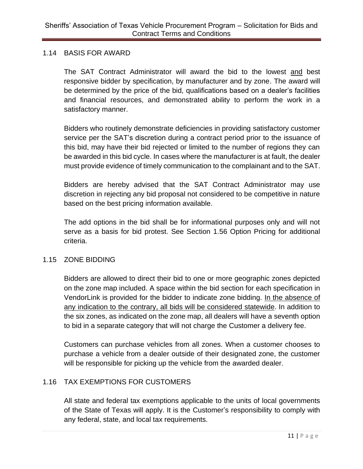#### 1.14 BASIS FOR AWARD

The SAT Contract Administrator will award the bid to the lowest and best responsive bidder by specification, by manufacturer and by zone. The award will be determined by the price of the bid, qualifications based on a dealer's facilities and financial resources, and demonstrated ability to perform the work in a satisfactory manner.

Bidders who routinely demonstrate deficiencies in providing satisfactory customer service per the SAT's discretion during a contract period prior to the issuance of this bid, may have their bid rejected or limited to the number of regions they can be awarded in this bid cycle. In cases where the manufacturer is at fault, the dealer must provide evidence of timely communication to the complainant and to the SAT.

Bidders are hereby advised that the SAT Contract Administrator may use discretion in rejecting any bid proposal not considered to be competitive in nature based on the best pricing information available.

The add options in the bid shall be for informational purposes only and will not serve as a basis for bid protest. See Section 1.56 Option Pricing for additional criteria.

# 1.15 ZONE BIDDING

Bidders are allowed to direct their bid to one or more geographic zones depicted on the zone map included. A space within the bid section for each specification in VendorLink is provided for the bidder to indicate zone bidding. In the absence of any indication to the contrary, all bids will be considered statewide. In addition to the six zones, as indicated on the zone map, all dealers will have a seventh option to bid in a separate category that will not charge the Customer a delivery fee.

Customers can purchase vehicles from all zones. When a customer chooses to purchase a vehicle from a dealer outside of their designated zone, the customer will be responsible for picking up the vehicle from the awarded dealer.

# 1.16 TAX EXEMPTIONS FOR CUSTOMERS

All state and federal tax exemptions applicable to the units of local governments of the State of Texas will apply. It is the Customer's responsibility to comply with any federal, state, and local tax requirements.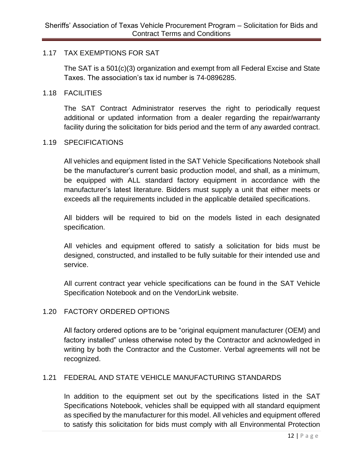#### 1.17 TAX EXEMPTIONS FOR SAT

The SAT is a 501(c)(3) organization and exempt from all Federal Excise and State Taxes. The association's tax id number is 74-0896285.

#### 1.18 FACILITIES

The SAT Contract Administrator reserves the right to periodically request additional or updated information from a dealer regarding the repair/warranty facility during the solicitation for bids period and the term of any awarded contract.

#### 1.19 SPECIFICATIONS

All vehicles and equipment listed in the SAT Vehicle Specifications Notebook shall be the manufacturer's current basic production model, and shall, as a minimum, be equipped with ALL standard factory equipment in accordance with the manufacturer's latest literature. Bidders must supply a unit that either meets or exceeds all the requirements included in the applicable detailed specifications.

All bidders will be required to bid on the models listed in each designated specification.

All vehicles and equipment offered to satisfy a solicitation for bids must be designed, constructed, and installed to be fully suitable for their intended use and service.

All current contract year vehicle specifications can be found in the SAT Vehicle Specification Notebook and on the VendorLink website.

#### 1.20 FACTORY ORDERED OPTIONS

All factory ordered options are to be "original equipment manufacturer (OEM) and factory installed" unless otherwise noted by the Contractor and acknowledged in writing by both the Contractor and the Customer. Verbal agreements will not be recognized.

#### 1.21 FEDERAL AND STATE VEHICLE MANUFACTURING STANDARDS

In addition to the equipment set out by the specifications listed in the SAT Specifications Notebook, vehicles shall be equipped with all standard equipment as specified by the manufacturer for this model. All vehicles and equipment offered to satisfy this solicitation for bids must comply with all Environmental Protection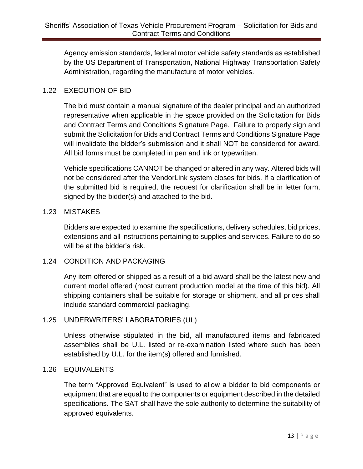Agency emission standards, federal motor vehicle safety standards as established by the US Department of Transportation, National Highway Transportation Safety Administration, regarding the manufacture of motor vehicles.

# 1.22 EXECUTION OF BID

The bid must contain a manual signature of the dealer principal and an authorized representative when applicable in the space provided on the Solicitation for Bids and Contract Terms and Conditions Signature Page. Failure to properly sign and submit the Solicitation for Bids and Contract Terms and Conditions Signature Page will invalidate the bidder's submission and it shall NOT be considered for award. All bid forms must be completed in pen and ink or typewritten.

Vehicle specifications CANNOT be changed or altered in any way. Altered bids will not be considered after the VendorLink system closes for bids. If a clarification of the submitted bid is required, the request for clarification shall be in letter form, signed by the bidder(s) and attached to the bid.

#### 1.23 MISTAKES

Bidders are expected to examine the specifications, delivery schedules, bid prices, extensions and all instructions pertaining to supplies and services. Failure to do so will be at the bidder's risk.

#### 1.24 CONDITION AND PACKAGING

Any item offered or shipped as a result of a bid award shall be the latest new and current model offered (most current production model at the time of this bid). All shipping containers shall be suitable for storage or shipment, and all prices shall include standard commercial packaging.

# 1.25 UNDERWRITERS' LABORATORIES (UL)

Unless otherwise stipulated in the bid, all manufactured items and fabricated assemblies shall be U.L. listed or re-examination listed where such has been established by U.L. for the item(s) offered and furnished.

#### 1.26 EQUIVALENTS

The term "Approved Equivalent" is used to allow a bidder to bid components or equipment that are equal to the components or equipment described in the detailed specifications. The SAT shall have the sole authority to determine the suitability of approved equivalents.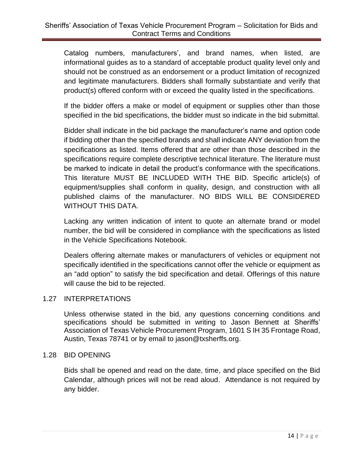Catalog numbers, manufacturers', and brand names, when listed, are informational guides as to a standard of acceptable product quality level only and should not be construed as an endorsement or a product limitation of recognized and legitimate manufacturers. Bidders shall formally substantiate and verify that product(s) offered conform with or exceed the quality listed in the specifications.

If the bidder offers a make or model of equipment or supplies other than those specified in the bid specifications, the bidder must so indicate in the bid submittal.

Bidder shall indicate in the bid package the manufacturer's name and option code if bidding other than the specified brands and shall indicate ANY deviation from the specifications as listed. Items offered that are other than those described in the specifications require complete descriptive technical literature. The literature must be marked to indicate in detail the product's conformance with the specifications. This literature MUST BE INCLUDED WITH THE BID. Specific article(s) of equipment/supplies shall conform in quality, design, and construction with all published claims of the manufacturer. NO BIDS WILL BE CONSIDERED WITHOUT THIS DATA.

Lacking any written indication of intent to quote an alternate brand or model number, the bid will be considered in compliance with the specifications as listed in the Vehicle Specifications Notebook.

Dealers offering alternate makes or manufacturers of vehicles or equipment not specifically identified in the specifications cannot offer the vehicle or equipment as an "add option" to satisfy the bid specification and detail. Offerings of this nature will cause the bid to be rejected.

#### 1.27 INTERPRETATIONS

Unless otherwise stated in the bid, any questions concerning conditions and specifications should be submitted in writing to Jason Bennett at Sheriffs' Association of Texas Vehicle Procurement Program, 1601 S IH 35 Frontage Road, Austin, Texas 78741 or by email to jason@txsherffs.org.

#### 1.28 BID OPENING

Bids shall be opened and read on the date, time, and place specified on the Bid Calendar, although prices will not be read aloud. Attendance is not required by any bidder.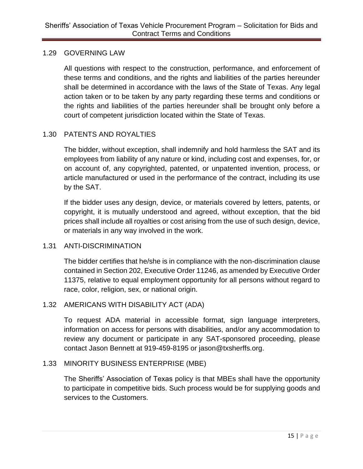#### 1.29 GOVERNING LAW

All questions with respect to the construction, performance, and enforcement of these terms and conditions, and the rights and liabilities of the parties hereunder shall be determined in accordance with the laws of the State of Texas. Any legal action taken or to be taken by any party regarding these terms and conditions or the rights and liabilities of the parties hereunder shall be brought only before a court of competent jurisdiction located within the State of Texas.

# 1.30 PATENTS AND ROYALTIES

The bidder, without exception, shall indemnify and hold harmless the SAT and its employees from liability of any nature or kind, including cost and expenses, for, or on account of, any copyrighted, patented, or unpatented invention, process, or article manufactured or used in the performance of the contract, including its use by the SAT.

If the bidder uses any design, device, or materials covered by letters, patents, or copyright, it is mutually understood and agreed, without exception, that the bid prices shall include all royalties or cost arising from the use of such design, device, or materials in any way involved in the work.

#### 1.31 ANTI-DISCRIMINATION

The bidder certifies that he/she is in compliance with the non-discrimination clause contained in Section 202, Executive Order 11246, as amended by Executive Order 11375, relative to equal employment opportunity for all persons without regard to race, color, religion, sex, or national origin.

# 1.32 AMERICANS WITH DISABILITY ACT (ADA)

To request ADA material in accessible format, sign language interpreters, information on access for persons with disabilities, and/or any accommodation to review any document or participate in any SAT-sponsored proceeding, please contact Jason Bennett at 919-459-8195 or jason@txsherffs.org.

#### 1.33 MINORITY BUSINESS ENTERPRISE (MBE)

The Sheriffs' Association of Texas policy is that MBEs shall have the opportunity to participate in competitive bids. Such process would be for supplying goods and services to the Customers.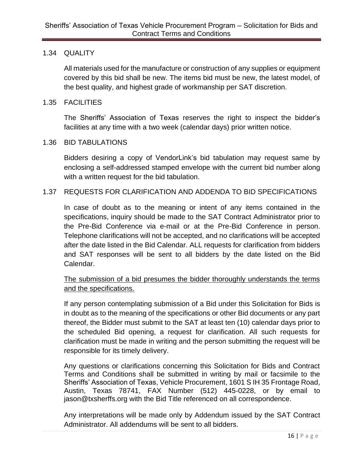#### 1.34 QUALITY

All materials used for the manufacture or construction of any supplies or equipment covered by this bid shall be new. The items bid must be new, the latest model, of the best quality, and highest grade of workmanship per SAT discretion.

#### 1.35 FACILITIES

The Sheriffs' Association of Texas reserves the right to inspect the bidder's facilities at any time with a two week (calendar days) prior written notice.

#### 1.36 BID TABULATIONS

Bidders desiring a copy of VendorLink's bid tabulation may request same by enclosing a self-addressed stamped envelope with the current bid number along with a written request for the bid tabulation.

#### 1.37 REQUESTS FOR CLARIFICATION AND ADDENDA TO BID SPECIFICATIONS

In case of doubt as to the meaning or intent of any items contained in the specifications, inquiry should be made to the SAT Contract Administrator prior to the Pre-Bid Conference via e-mail or at the Pre-Bid Conference in person. Telephone clarifications will not be accepted, and no clarifications will be accepted after the date listed in the Bid Calendar. ALL requests for clarification from bidders and SAT responses will be sent to all bidders by the date listed on the Bid Calendar.

#### The submission of a bid presumes the bidder thoroughly understands the terms and the specifications.

If any person contemplating submission of a Bid under this Solicitation for Bids is in doubt as to the meaning of the specifications or other Bid documents or any part thereof, the Bidder must submit to the SAT at least ten (10) calendar days prior to the scheduled Bid opening, a request for clarification. All such requests for clarification must be made in writing and the person submitting the request will be responsible for its timely delivery.

Any questions or clarifications concerning this Solicitation for Bids and Contract Terms and Conditions shall be submitted in writing by mail or facsimile to the Sheriffs' Association of Texas, Vehicle Procurement, 1601 S IH 35 Frontage Road, Austin, Texas 78741, FAX Number (512) 445-0228, or by email to jason@txsherffs.org with the Bid Title referenced on all correspondence.

Any interpretations will be made only by Addendum issued by the SAT Contract Administrator. All addendums will be sent to all bidders.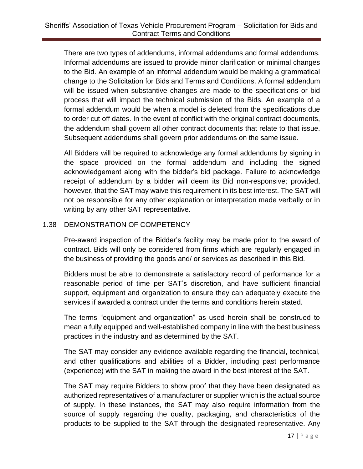There are two types of addendums, informal addendums and formal addendums. Informal addendums are issued to provide minor clarification or minimal changes to the Bid. An example of an informal addendum would be making a grammatical change to the Solicitation for Bids and Terms and Conditions. A formal addendum will be issued when substantive changes are made to the specifications or bid process that will impact the technical submission of the Bids. An example of a formal addendum would be when a model is deleted from the specifications due to order cut off dates. In the event of conflict with the original contract documents, the addendum shall govern all other contract documents that relate to that issue. Subsequent addendums shall govern prior addendums on the same issue.

All Bidders will be required to acknowledge any formal addendums by signing in the space provided on the formal addendum and including the signed acknowledgement along with the bidder's bid package. Failure to acknowledge receipt of addendum by a bidder will deem its Bid non-responsive; provided, however, that the SAT may waive this requirement in its best interest. The SAT will not be responsible for any other explanation or interpretation made verbally or in writing by any other SAT representative.

#### 1.38 DEMONSTRATION OF COMPETENCY

Pre-award inspection of the Bidder's facility may be made prior to the award of contract. Bids will only be considered from firms which are regularly engaged in the business of providing the goods and/ or services as described in this Bid.

Bidders must be able to demonstrate a satisfactory record of performance for a reasonable period of time per SAT's discretion, and have sufficient financial support, equipment and organization to ensure they can adequately execute the services if awarded a contract under the terms and conditions herein stated.

The terms "equipment and organization" as used herein shall be construed to mean a fully equipped and well-established company in line with the best business practices in the industry and as determined by the SAT.

The SAT may consider any evidence available regarding the financial, technical, and other qualifications and abilities of a Bidder, including past performance (experience) with the SAT in making the award in the best interest of the SAT.

The SAT may require Bidders to show proof that they have been designated as authorized representatives of a manufacturer or supplier which is the actual source of supply. In these instances, the SAT may also require information from the source of supply regarding the quality, packaging, and characteristics of the products to be supplied to the SAT through the designated representative. Any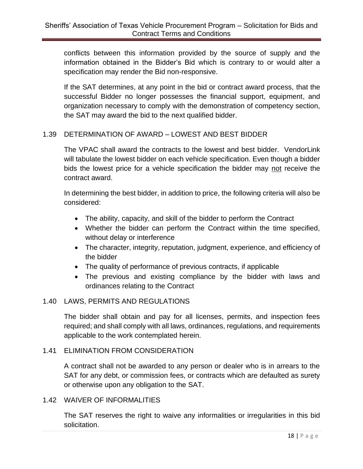conflicts between this information provided by the source of supply and the information obtained in the Bidder's Bid which is contrary to or would alter a specification may render the Bid non-responsive.

If the SAT determines, at any point in the bid or contract award process, that the successful Bidder no longer possesses the financial support, equipment, and organization necessary to comply with the demonstration of competency section, the SAT may award the bid to the next qualified bidder.

#### 1.39 DETERMINATION OF AWARD – LOWEST AND BEST BIDDER

The VPAC shall award the contracts to the lowest and best bidder. VendorLink will tabulate the lowest bidder on each vehicle specification. Even though a bidder bids the lowest price for a vehicle specification the bidder may not receive the contract award.

In determining the best bidder, in addition to price, the following criteria will also be considered:

- The ability, capacity, and skill of the bidder to perform the Contract
- Whether the bidder can perform the Contract within the time specified, without delay or interference
- The character, integrity, reputation, judgment, experience, and efficiency of the bidder
- The quality of performance of previous contracts, if applicable
- The previous and existing compliance by the bidder with laws and ordinances relating to the Contract

#### 1.40 LAWS, PERMITS AND REGULATIONS

The bidder shall obtain and pay for all licenses, permits, and inspection fees required; and shall comply with all laws, ordinances, regulations, and requirements applicable to the work contemplated herein.

#### 1.41 ELIMINATION FROM CONSIDERATION

A contract shall not be awarded to any person or dealer who is in arrears to the SAT for any debt, or commission fees, or contracts which are defaulted as surety or otherwise upon any obligation to the SAT.

#### 1.42 WAIVER OF INFORMALITIES

The SAT reserves the right to waive any informalities or irregularities in this bid solicitation.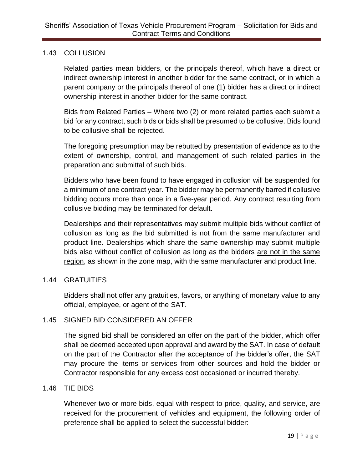#### 1.43 COLLUSION

Related parties mean bidders, or the principals thereof, which have a direct or indirect ownership interest in another bidder for the same contract, or in which a parent company or the principals thereof of one (1) bidder has a direct or indirect ownership interest in another bidder for the same contract.

Bids from Related Parties – Where two (2) or more related parties each submit a bid for any contract, such bids or bids shall be presumed to be collusive. Bids found to be collusive shall be rejected.

The foregoing presumption may be rebutted by presentation of evidence as to the extent of ownership, control, and management of such related parties in the preparation and submittal of such bids.

Bidders who have been found to have engaged in collusion will be suspended for a minimum of one contract year. The bidder may be permanently barred if collusive bidding occurs more than once in a five-year period. Any contract resulting from collusive bidding may be terminated for default.

Dealerships and their representatives may submit multiple bids without conflict of collusion as long as the bid submitted is not from the same manufacturer and product line. Dealerships which share the same ownership may submit multiple bids also without conflict of collusion as long as the bidders are not in the same region, as shown in the zone map, with the same manufacturer and product line.

#### 1.44 GRATUITIES

Bidders shall not offer any gratuities, favors, or anything of monetary value to any official, employee, or agent of the SAT.

#### 1.45 SIGNED BID CONSIDERED AN OFFER

The signed bid shall be considered an offer on the part of the bidder, which offer shall be deemed accepted upon approval and award by the SAT. In case of default on the part of the Contractor after the acceptance of the bidder's offer, the SAT may procure the items or services from other sources and hold the bidder or Contractor responsible for any excess cost occasioned or incurred thereby.

#### 1.46 TIE BIDS

Whenever two or more bids, equal with respect to price, quality, and service, are received for the procurement of vehicles and equipment, the following order of preference shall be applied to select the successful bidder: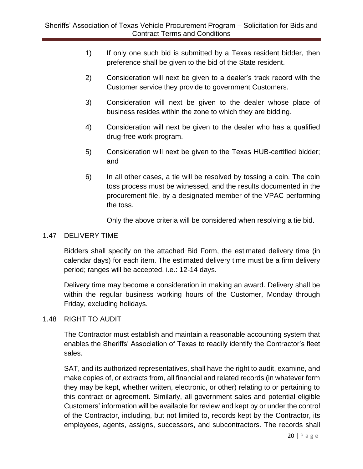- 1) If only one such bid is submitted by a Texas resident bidder, then preference shall be given to the bid of the State resident.
- 2) Consideration will next be given to a dealer's track record with the Customer service they provide to government Customers.
- 3) Consideration will next be given to the dealer whose place of business resides within the zone to which they are bidding.
- 4) Consideration will next be given to the dealer who has a qualified drug-free work program.
- 5) Consideration will next be given to the Texas HUB-certified bidder; and
- 6) In all other cases, a tie will be resolved by tossing a coin. The coin toss process must be witnessed, and the results documented in the procurement file, by a designated member of the VPAC performing the toss.

Only the above criteria will be considered when resolving a tie bid.

#### 1.47 DELIVERY TIME

Bidders shall specify on the attached Bid Form, the estimated delivery time (in calendar days) for each item. The estimated delivery time must be a firm delivery period; ranges will be accepted, i.e.: 12-14 days.

Delivery time may become a consideration in making an award. Delivery shall be within the regular business working hours of the Customer, Monday through Friday, excluding holidays.

#### 1.48 RIGHT TO AUDIT

The Contractor must establish and maintain a reasonable accounting system that enables the Sheriffs' Association of Texas to readily identify the Contractor's fleet sales.

SAT, and its authorized representatives, shall have the right to audit, examine, and make copies of, or extracts from, all financial and related records (in whatever form they may be kept, whether written, electronic, or other) relating to or pertaining to this contract or agreement. Similarly, all government sales and potential eligible Customers' information will be available for review and kept by or under the control of the Contractor, including, but not limited to, records kept by the Contractor, its employees, agents, assigns, successors, and subcontractors. The records shall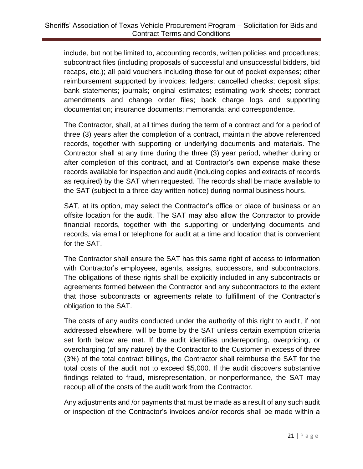include, but not be limited to, accounting records, written policies and procedures; subcontract files (including proposals of successful and unsuccessful bidders, bid recaps, etc.); all paid vouchers including those for out of pocket expenses; other reimbursement supported by invoices; ledgers; cancelled checks; deposit slips; bank statements; journals; original estimates; estimating work sheets; contract amendments and change order files; back charge logs and supporting documentation; insurance documents; memoranda; and correspondence.

The Contractor, shall, at all times during the term of a contract and for a period of three (3) years after the completion of a contract, maintain the above referenced records, together with supporting or underlying documents and materials. The Contractor shall at any time during the three (3) year period, whether during or after completion of this contract, and at Contractor's own expense make these records available for inspection and audit (including copies and extracts of records as required) by the SAT when requested. The records shall be made available to the SAT (subject to a three-day written notice) during normal business hours.

SAT, at its option, may select the Contractor's office or place of business or an offsite location for the audit. The SAT may also allow the Contractor to provide financial records, together with the supporting or underlying documents and records, via email or telephone for audit at a time and location that is convenient for the SAT.

The Contractor shall ensure the SAT has this same right of access to information with Contractor's employees, agents, assigns, successors, and subcontractors. The obligations of these rights shall be explicitly included in any subcontracts or agreements formed between the Contractor and any subcontractors to the extent that those subcontracts or agreements relate to fulfillment of the Contractor's obligation to the SAT.

The costs of any audits conducted under the authority of this right to audit, if not addressed elsewhere, will be borne by the SAT unless certain exemption criteria set forth below are met. If the audit identifies underreporting, overpricing, or overcharging (of any nature) by the Contractor to the Customer in excess of three (3%) of the total contract billings, the Contractor shall reimburse the SAT for the total costs of the audit not to exceed \$5,000. If the audit discovers substantive findings related to fraud, misrepresentation, or nonperformance, the SAT may recoup all of the costs of the audit work from the Contractor.

Any adjustments and /or payments that must be made as a result of any such audit or inspection of the Contractor's invoices and/or records shall be made within a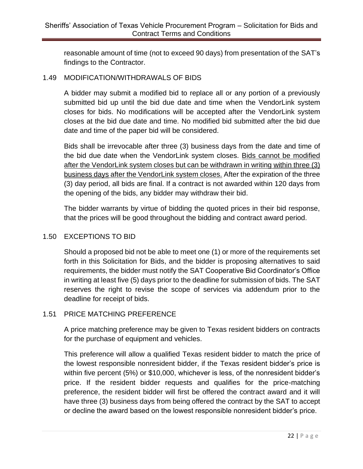reasonable amount of time (not to exceed 90 days) from presentation of the SAT's findings to the Contractor.

#### 1.49 MODIFICATION/WITHDRAWALS OF BIDS

A bidder may submit a modified bid to replace all or any portion of a previously submitted bid up until the bid due date and time when the VendorLink system closes for bids. No modifications will be accepted after the VendorLink system closes at the bid due date and time. No modified bid submitted after the bid due date and time of the paper bid will be considered.

Bids shall be irrevocable after three (3) business days from the date and time of the bid due date when the VendorLink system closes. Bids cannot be modified after the VendorLink system closes but can be withdrawn in writing within three (3) business days after the VendorLink system closes. After the expiration of the three (3) day period, all bids are final. If a contract is not awarded within 120 days from the opening of the bids, any bidder may withdraw their bid.

The bidder warrants by virtue of bidding the quoted prices in their bid response, that the prices will be good throughout the bidding and contract award period.

#### 1.50 EXCEPTIONS TO BID

Should a proposed bid not be able to meet one (1) or more of the requirements set forth in this Solicitation for Bids, and the bidder is proposing alternatives to said requirements, the bidder must notify the SAT Cooperative Bid Coordinator's Office in writing at least five (5) days prior to the deadline for submission of bids. The SAT reserves the right to revise the scope of services via addendum prior to the deadline for receipt of bids.

#### 1.51 PRICE MATCHING PREFERENCE

A price matching preference may be given to Texas resident bidders on contracts for the purchase of equipment and vehicles.

This preference will allow a qualified Texas resident bidder to match the price of the lowest responsible nonresident bidder, if the Texas resident bidder's price is within five percent (5%) or \$10,000, whichever is less, of the nonresident bidder's price. If the resident bidder requests and qualifies for the price-matching preference, the resident bidder will first be offered the contract award and it will have three (3) business days from being offered the contract by the SAT to accept or decline the award based on the lowest responsible nonresident bidder's price.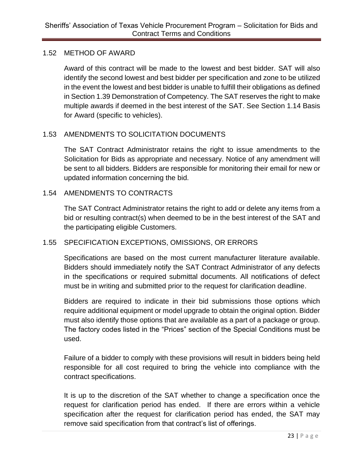#### 1.52 METHOD OF AWARD

Award of this contract will be made to the lowest and best bidder. SAT will also identify the second lowest and best bidder per specification and zone to be utilized in the event the lowest and best bidder is unable to fulfill their obligations as defined in Section 1.39 Demonstration of Competency. The SAT reserves the right to make multiple awards if deemed in the best interest of the SAT. See Section 1.14 Basis for Award (specific to vehicles).

# 1.53 AMENDMENTS TO SOLICITATION DOCUMENTS

The SAT Contract Administrator retains the right to issue amendments to the Solicitation for Bids as appropriate and necessary. Notice of any amendment will be sent to all bidders. Bidders are responsible for monitoring their email for new or updated information concerning the bid.

# 1.54 AMENDMENTS TO CONTRACTS

The SAT Contract Administrator retains the right to add or delete any items from a bid or resulting contract(s) when deemed to be in the best interest of the SAT and the participating eligible Customers.

# 1.55 SPECIFICATION EXCEPTIONS, OMISSIONS, OR ERRORS

Specifications are based on the most current manufacturer literature available. Bidders should immediately notify the SAT Contract Administrator of any defects in the specifications or required submittal documents. All notifications of defect must be in writing and submitted prior to the request for clarification deadline.

Bidders are required to indicate in their bid submissions those options which require additional equipment or model upgrade to obtain the original option. Bidder must also identify those options that are available as a part of a package or group. The factory codes listed in the "Prices" section of the Special Conditions must be used.

Failure of a bidder to comply with these provisions will result in bidders being held responsible for all cost required to bring the vehicle into compliance with the contract specifications.

It is up to the discretion of the SAT whether to change a specification once the request for clarification period has ended. If there are errors within a vehicle specification after the request for clarification period has ended, the SAT may remove said specification from that contract's list of offerings.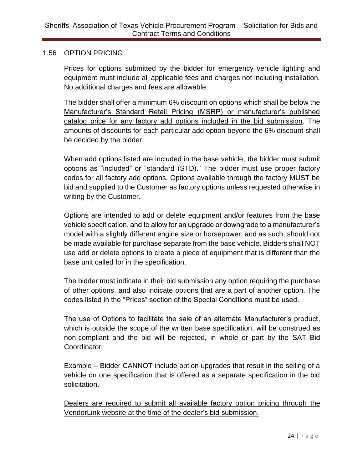#### 1.56 OPTION PRICING

Prices for options submitted by the bidder for emergency vehicle lighting and equipment must include all applicable fees and charges not including installation. No additional charges and fees are allowable.

The bidder shall offer a minimum 6% discount on options which shall be below the Manufacturer's Standard Retail Pricing (MSRP) or manufacturer's published catalog price for any factory add options included in the bid submission. The amounts of discounts for each particular add option beyond the 6% discount shall be decided by the bidder.

When add options listed are included in the base vehicle, the bidder must submit options as "included" or "standard (STD)." The bidder must use proper factory codes for all factory add options. Options available through the factory MUST be bid and supplied to the Customer as factory options unless requested otherwise in writing by the Customer.

Options are intended to add or delete equipment and/or features from the base vehicle specification, and to allow for an upgrade or downgrade to a manufacturer's model with a slightly different engine size or horsepower, and as such, should not be made available for purchase separate from the base vehicle. Bidders shall NOT use add or delete options to create a piece of equipment that is different than the base unit called for in the specification.

The bidder must indicate in their bid submission any option requiring the purchase of other options, and also indicate options that are a part of another option. The codes listed in the "Prices" section of the Special Conditions must be used.

The use of Options to facilitate the sale of an alternate Manufacturer's product, which is outside the scope of the written base specification, will be construed as non-compliant and the bid will be rejected, in whole or part by the SAT Bid Coordinator.

Example – Bidder CANNOT include option upgrades that result in the selling of a vehicle on one specification that is offered as a separate specification in the bid solicitation.

Dealers are required to submit all available factory option pricing through the VendorLink website at the time of the dealer's bid submission.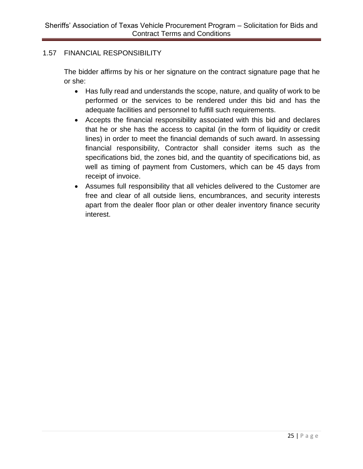#### 1.57 FINANCIAL RESPONSIBILITY

The bidder affirms by his or her signature on the contract signature page that he or she:

- Has fully read and understands the scope, nature, and quality of work to be performed or the services to be rendered under this bid and has the adequate facilities and personnel to fulfill such requirements.
- Accepts the financial responsibility associated with this bid and declares that he or she has the access to capital (in the form of liquidity or credit lines) in order to meet the financial demands of such award. In assessing financial responsibility, Contractor shall consider items such as the specifications bid, the zones bid, and the quantity of specifications bid, as well as timing of payment from Customers, which can be 45 days from receipt of invoice.
- Assumes full responsibility that all vehicles delivered to the Customer are free and clear of all outside liens, encumbrances, and security interests apart from the dealer floor plan or other dealer inventory finance security interest.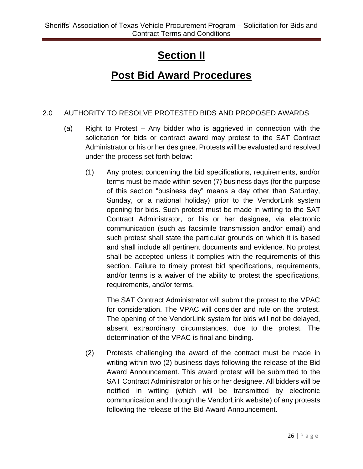# **Section II**

# **Post Bid Award Procedures**

# 2.0 AUTHORITY TO RESOLVE PROTESTED BIDS AND PROPOSED AWARDS

- (a) Right to Protest Any bidder who is aggrieved in connection with the solicitation for bids or contract award may protest to the SAT Contract Administrator or his or her designee. Protests will be evaluated and resolved under the process set forth below:
	- (1) Any protest concerning the bid specifications, requirements, and/or terms must be made within seven (7) business days (for the purpose of this section "business day" means a day other than Saturday, Sunday, or a national holiday) prior to the VendorLink system opening for bids. Such protest must be made in writing to the SAT Contract Administrator, or his or her designee, via electronic communication (such as facsimile transmission and/or email) and such protest shall state the particular grounds on which it is based and shall include all pertinent documents and evidence. No protest shall be accepted unless it complies with the requirements of this section. Failure to timely protest bid specifications, requirements, and/or terms is a waiver of the ability to protest the specifications, requirements, and/or terms.

The SAT Contract Administrator will submit the protest to the VPAC for consideration. The VPAC will consider and rule on the protest. The opening of the VendorLink system for bids will not be delayed, absent extraordinary circumstances, due to the protest. The determination of the VPAC is final and binding.

(2) Protests challenging the award of the contract must be made in writing within two (2) business days following the release of the Bid Award Announcement. This award protest will be submitted to the SAT Contract Administrator or his or her designee. All bidders will be notified in writing (which will be transmitted by electronic communication and through the VendorLink website) of any protests following the release of the Bid Award Announcement.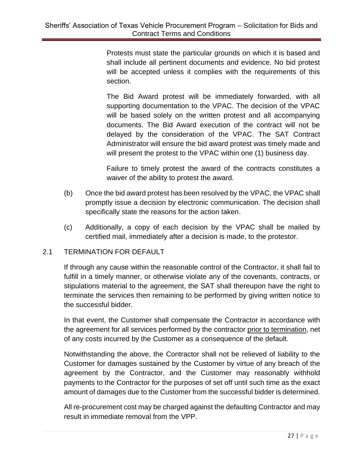Protests must state the particular grounds on which it is based and shall include all pertinent documents and evidence. No bid protest will be accepted unless it complies with the requirements of this section.

The Bid Award protest will be immediately forwarded, with all supporting documentation to the VPAC. The decision of the VPAC will be based solely on the written protest and all accompanying documents. The Bid Award execution of the contract will not be delayed by the consideration of the VPAC. The SAT Contract Administrator will ensure the bid award protest was timely made and will present the protest to the VPAC within one (1) business day.

Failure to timely protest the award of the contracts constitutes a waiver of the ability to protest the award.

- (b) Once the bid award protest has been resolved by the VPAC, the VPAC shall promptly issue a decision by electronic communication. The decision shall specifically state the reasons for the action taken.
- (c) Additionally, a copy of each decision by the VPAC shall be mailed by certified mail, immediately after a decision is made, to the protestor.

# 2.1 TERMINATION FOR DEFAULT

If through any cause within the reasonable control of the Contractor, it shall fail to fulfill in a timely manner, or otherwise violate any of the covenants, contracts, or stipulations material to the agreement, the SAT shall thereupon have the right to terminate the services then remaining to be performed by giving written notice to the successful bidder.

In that event, the Customer shall compensate the Contractor in accordance with the agreement for all services performed by the contractor prior to termination, net of any costs incurred by the Customer as a consequence of the default.

Notwithstanding the above, the Contractor shall not be relieved of liability to the Customer for damages sustained by the Customer by virtue of any breach of the agreement by the Contractor, and the Customer may reasonably withhold payments to the Contractor for the purposes of set off until such time as the exact amount of damages due to the Customer from the successful bidder is determined.

All re-procurement cost may be charged against the defaulting Contractor and may result in immediate removal from the VPP.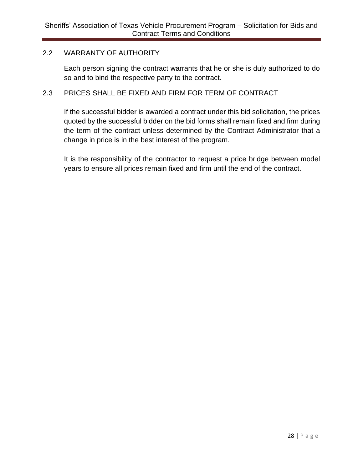#### 2.2 WARRANTY OF AUTHORITY

Each person signing the contract warrants that he or she is duly authorized to do so and to bind the respective party to the contract.

#### 2.3 PRICES SHALL BE FIXED AND FIRM FOR TERM OF CONTRACT

If the successful bidder is awarded a contract under this bid solicitation, the prices quoted by the successful bidder on the bid forms shall remain fixed and firm during the term of the contract unless determined by the Contract Administrator that a change in price is in the best interest of the program.

It is the responsibility of the contractor to request a price bridge between model years to ensure all prices remain fixed and firm until the end of the contract.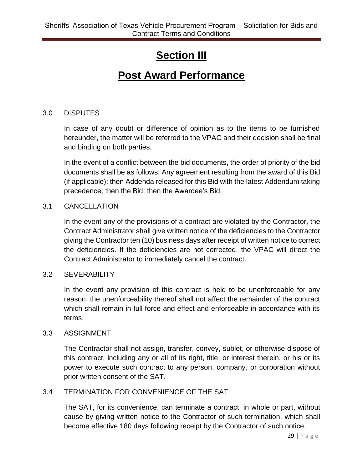# **Section III**

# **Post Award Performance**

#### 3.0 DISPUTES

In case of any doubt or difference of opinion as to the items to be furnished hereunder, the matter will be referred to the VPAC and their decision shall be final and binding on both parties.

In the event of a conflict between the bid documents, the order of priority of the bid documents shall be as follows: Any agreement resulting from the award of this Bid (if applicable); then Addenda released for this Bid with the latest Addendum taking precedence; then the Bid; then the Awardee's Bid.

#### 3.1 CANCELLATION

In the event any of the provisions of a contract are violated by the Contractor, the Contract Administrator shall give written notice of the deficiencies to the Contractor giving the Contractor ten (10) business days after receipt of written notice to correct the deficiencies. If the deficiencies are not corrected, the VPAC will direct the Contract Administrator to immediately cancel the contract.

#### 3.2 SEVERABILITY

In the event any provision of this contract is held to be unenforceable for any reason, the unenforceability thereof shall not affect the remainder of the contract which shall remain in full force and effect and enforceable in accordance with its terms.

#### 3.3 ASSIGNMENT

The Contractor shall not assign, transfer, convey, sublet, or otherwise dispose of this contract, including any or all of its right, title, or interest therein, or his or its power to execute such contract to any person, company, or corporation without prior written consent of the SAT.

#### 3.4 TERMINATION FOR CONVENIENCE OF THE SAT

The SAT, for its convenience, can terminate a contract, in whole or part, without cause by giving written notice to the Contractor of such termination, which shall become effective 180 days following receipt by the Contractor of such notice.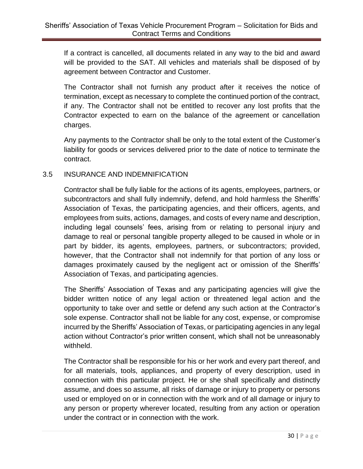If a contract is cancelled, all documents related in any way to the bid and award will be provided to the SAT. All vehicles and materials shall be disposed of by agreement between Contractor and Customer.

The Contractor shall not furnish any product after it receives the notice of termination, except as necessary to complete the continued portion of the contract, if any. The Contractor shall not be entitled to recover any lost profits that the Contractor expected to earn on the balance of the agreement or cancellation charges.

Any payments to the Contractor shall be only to the total extent of the Customer's liability for goods or services delivered prior to the date of notice to terminate the contract.

#### 3.5 INSURANCE AND INDEMNIFICATION

Contractor shall be fully liable for the actions of its agents, employees, partners, or subcontractors and shall fully indemnify, defend, and hold harmless the Sheriffs' Association of Texas, the participating agencies, and their officers, agents, and employees from suits, actions, damages, and costs of every name and description, including legal counsels' fees, arising from or relating to personal injury and damage to real or personal tangible property alleged to be caused in whole or in part by bidder, its agents, employees, partners, or subcontractors; provided, however, that the Contractor shall not indemnify for that portion of any loss or damages proximately caused by the negligent act or omission of the Sheriffs' Association of Texas, and participating agencies.

The Sheriffs' Association of Texas and any participating agencies will give the bidder written notice of any legal action or threatened legal action and the opportunity to take over and settle or defend any such action at the Contractor's sole expense. Contractor shall not be liable for any cost, expense, or compromise incurred by the Sheriffs' Association of Texas, or participating agencies in any legal action without Contractor's prior written consent, which shall not be unreasonably withheld.

The Contractor shall be responsible for his or her work and every part thereof, and for all materials, tools, appliances, and property of every description, used in connection with this particular project. He or she shall specifically and distinctly assume, and does so assume, all risks of damage or injury to property or persons used or employed on or in connection with the work and of all damage or injury to any person or property wherever located, resulting from any action or operation under the contract or in connection with the work.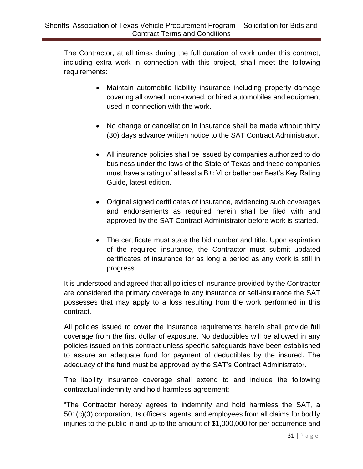The Contractor, at all times during the full duration of work under this contract, including extra work in connection with this project, shall meet the following requirements:

- Maintain automobile liability insurance including property damage covering all owned, non-owned, or hired automobiles and equipment used in connection with the work.
- No change or cancellation in insurance shall be made without thirty (30) days advance written notice to the SAT Contract Administrator.
- All insurance policies shall be issued by companies authorized to do business under the laws of the State of Texas and these companies must have a rating of at least a B+: VI or better per Best's Key Rating Guide, latest edition.
- Original signed certificates of insurance, evidencing such coverages and endorsements as required herein shall be filed with and approved by the SAT Contract Administrator before work is started.
- The certificate must state the bid number and title. Upon expiration of the required insurance, the Contractor must submit updated certificates of insurance for as long a period as any work is still in progress.

It is understood and agreed that all policies of insurance provided by the Contractor are considered the primary coverage to any insurance or self-insurance the SAT possesses that may apply to a loss resulting from the work performed in this contract.

All policies issued to cover the insurance requirements herein shall provide full coverage from the first dollar of exposure. No deductibles will be allowed in any policies issued on this contract unless specific safeguards have been established to assure an adequate fund for payment of deductibles by the insured. The adequacy of the fund must be approved by the SAT's Contract Administrator.

The liability insurance coverage shall extend to and include the following contractual indemnity and hold harmless agreement:

"The Contractor hereby agrees to indemnify and hold harmless the SAT, a 501(c)(3) corporation, its officers, agents, and employees from all claims for bodily injuries to the public in and up to the amount of \$1,000,000 for per occurrence and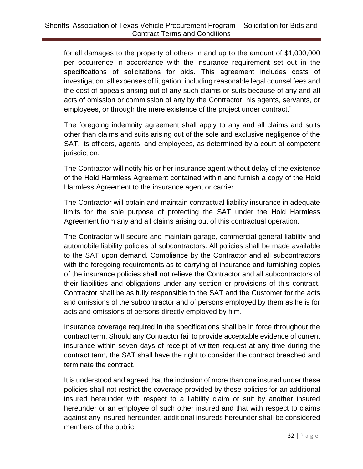for all damages to the property of others in and up to the amount of \$1,000,000 per occurrence in accordance with the insurance requirement set out in the specifications of solicitations for bids. This agreement includes costs of investigation, all expenses of litigation, including reasonable legal counsel fees and the cost of appeals arising out of any such claims or suits because of any and all acts of omission or commission of any by the Contractor, his agents, servants, or employees, or through the mere existence of the project under contract."

The foregoing indemnity agreement shall apply to any and all claims and suits other than claims and suits arising out of the sole and exclusive negligence of the SAT, its officers, agents, and employees, as determined by a court of competent jurisdiction.

The Contractor will notify his or her insurance agent without delay of the existence of the Hold Harmless Agreement contained within and furnish a copy of the Hold Harmless Agreement to the insurance agent or carrier.

The Contractor will obtain and maintain contractual liability insurance in adequate limits for the sole purpose of protecting the SAT under the Hold Harmless Agreement from any and all claims arising out of this contractual operation.

The Contractor will secure and maintain garage, commercial general liability and automobile liability policies of subcontractors. All policies shall be made available to the SAT upon demand. Compliance by the Contractor and all subcontractors with the foregoing requirements as to carrying of insurance and furnishing copies of the insurance policies shall not relieve the Contractor and all subcontractors of their liabilities and obligations under any section or provisions of this contract. Contractor shall be as fully responsible to the SAT and the Customer for the acts and omissions of the subcontractor and of persons employed by them as he is for acts and omissions of persons directly employed by him.

Insurance coverage required in the specifications shall be in force throughout the contract term. Should any Contractor fail to provide acceptable evidence of current insurance within seven days of receipt of written request at any time during the contract term, the SAT shall have the right to consider the contract breached and terminate the contract.

It is understood and agreed that the inclusion of more than one insured under these policies shall not restrict the coverage provided by these policies for an additional insured hereunder with respect to a liability claim or suit by another insured hereunder or an employee of such other insured and that with respect to claims against any insured hereunder, additional insureds hereunder shall be considered members of the public.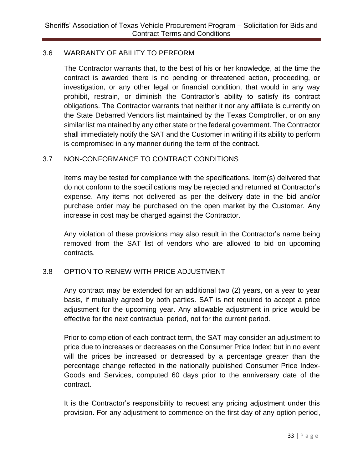#### 3.6 WARRANTY OF ABILITY TO PERFORM

The Contractor warrants that, to the best of his or her knowledge, at the time the contract is awarded there is no pending or threatened action, proceeding, or investigation, or any other legal or financial condition, that would in any way prohibit, restrain, or diminish the Contractor's ability to satisfy its contract obligations. The Contractor warrants that neither it nor any affiliate is currently on the State Debarred Vendors list maintained by the Texas Comptroller, or on any similar list maintained by any other state or the federal government. The Contractor shall immediately notify the SAT and the Customer in writing if its ability to perform is compromised in any manner during the term of the contract.

#### 3.7 NON-CONFORMANCE TO CONTRACT CONDITIONS

Items may be tested for compliance with the specifications. Item(s) delivered that do not conform to the specifications may be rejected and returned at Contractor's expense. Any items not delivered as per the delivery date in the bid and/or purchase order may be purchased on the open market by the Customer. Any increase in cost may be charged against the Contractor.

Any violation of these provisions may also result in the Contractor's name being removed from the SAT list of vendors who are allowed to bid on upcoming contracts.

#### 3.8 OPTION TO RENEW WITH PRICE ADJUSTMENT

Any contract may be extended for an additional two (2) years, on a year to year basis, if mutually agreed by both parties. SAT is not required to accept a price adjustment for the upcoming year. Any allowable adjustment in price would be effective for the next contractual period, not for the current period.

Prior to completion of each contract term, the SAT may consider an adjustment to price due to increases or decreases on the Consumer Price Index; but in no event will the prices be increased or decreased by a percentage greater than the percentage change reflected in the nationally published Consumer Price Index-Goods and Services, computed 60 days prior to the anniversary date of the contract.

It is the Contractor's responsibility to request any pricing adjustment under this provision. For any adjustment to commence on the first day of any option period,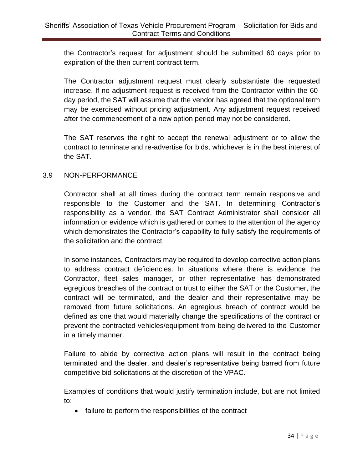the Contractor's request for adjustment should be submitted 60 days prior to expiration of the then current contract term.

The Contractor adjustment request must clearly substantiate the requested increase. If no adjustment request is received from the Contractor within the 60 day period, the SAT will assume that the vendor has agreed that the optional term may be exercised without pricing adjustment. Any adjustment request received after the commencement of a new option period may not be considered.

The SAT reserves the right to accept the renewal adjustment or to allow the contract to terminate and re-advertise for bids, whichever is in the best interest of the SAT.

#### 3.9 NON-PERFORMANCE

Contractor shall at all times during the contract term remain responsive and responsible to the Customer and the SAT. In determining Contractor's responsibility as a vendor, the SAT Contract Administrator shall consider all information or evidence which is gathered or comes to the attention of the agency which demonstrates the Contractor's capability to fully satisfy the requirements of the solicitation and the contract.

In some instances, Contractors may be required to develop corrective action plans to address contract deficiencies. In situations where there is evidence the Contractor, fleet sales manager, or other representative has demonstrated egregious breaches of the contract or trust to either the SAT or the Customer, the contract will be terminated, and the dealer and their representative may be removed from future solicitations. An egregious breach of contract would be defined as one that would materially change the specifications of the contract or prevent the contracted vehicles/equipment from being delivered to the Customer in a timely manner.

Failure to abide by corrective action plans will result in the contract being terminated and the dealer, and dealer's representative being barred from future competitive bid solicitations at the discretion of the VPAC.

Examples of conditions that would justify termination include, but are not limited to:

• failure to perform the responsibilities of the contract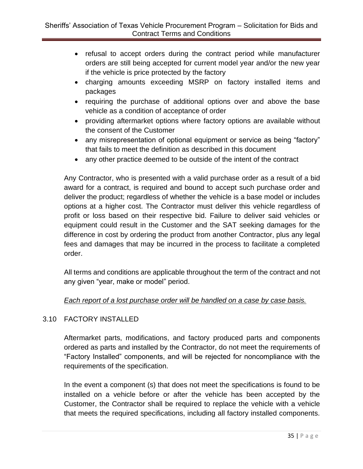- refusal to accept orders during the contract period while manufacturer orders are still being accepted for current model year and/or the new year if the vehicle is price protected by the factory
- charging amounts exceeding MSRP on factory installed items and packages
- requiring the purchase of additional options over and above the base vehicle as a condition of acceptance of order
- providing aftermarket options where factory options are available without the consent of the Customer
- any misrepresentation of optional equipment or service as being "factory" that fails to meet the definition as described in this document
- any other practice deemed to be outside of the intent of the contract

Any Contractor, who is presented with a valid purchase order as a result of a bid award for a contract, is required and bound to accept such purchase order and deliver the product; regardless of whether the vehicle is a base model or includes options at a higher cost. The Contractor must deliver this vehicle regardless of profit or loss based on their respective bid. Failure to deliver said vehicles or equipment could result in the Customer and the SAT seeking damages for the difference in cost by ordering the product from another Contractor, plus any legal fees and damages that may be incurred in the process to facilitate a completed order.

All terms and conditions are applicable throughout the term of the contract and not any given "year, make or model" period.

# *Each report of a lost purchase order will be handled on a case by case basis.*

# 3.10 FACTORY INSTALLED

Aftermarket parts, modifications, and factory produced parts and components ordered as parts and installed by the Contractor, do not meet the requirements of "Factory Installed" components, and will be rejected for noncompliance with the requirements of the specification.

In the event a component (s) that does not meet the specifications is found to be installed on a vehicle before or after the vehicle has been accepted by the Customer, the Contractor shall be required to replace the vehicle with a vehicle that meets the required specifications, including all factory installed components.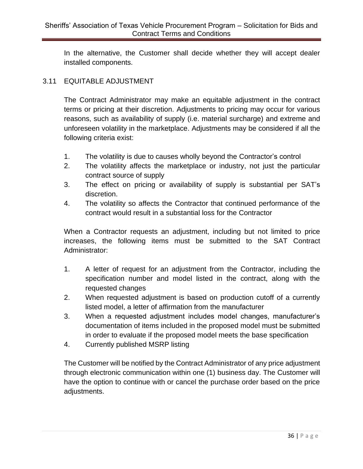In the alternative, the Customer shall decide whether they will accept dealer installed components.

# 3.11 EQUITABLE ADJUSTMENT

The Contract Administrator may make an equitable adjustment in the contract terms or pricing at their discretion. Adjustments to pricing may occur for various reasons, such as availability of supply (i.e. material surcharge) and extreme and unforeseen volatility in the marketplace. Adjustments may be considered if all the following criteria exist:

- 1. The volatility is due to causes wholly beyond the Contractor's control
- 2. The volatility affects the marketplace or industry, not just the particular contract source of supply
- 3. The effect on pricing or availability of supply is substantial per SAT's discretion.
- 4. The volatility so affects the Contractor that continued performance of the contract would result in a substantial loss for the Contractor

When a Contractor requests an adjustment, including but not limited to price increases, the following items must be submitted to the SAT Contract Administrator:

- 1. A letter of request for an adjustment from the Contractor, including the specification number and model listed in the contract, along with the requested changes
- 2. When requested adjustment is based on production cutoff of a currently listed model, a letter of affirmation from the manufacturer
- 3. When a requested adjustment includes model changes, manufacturer's documentation of items included in the proposed model must be submitted in order to evaluate if the proposed model meets the base specification
- 4. Currently published MSRP listing

The Customer will be notified by the Contract Administrator of any price adjustment through electronic communication within one (1) business day. The Customer will have the option to continue with or cancel the purchase order based on the price adjustments.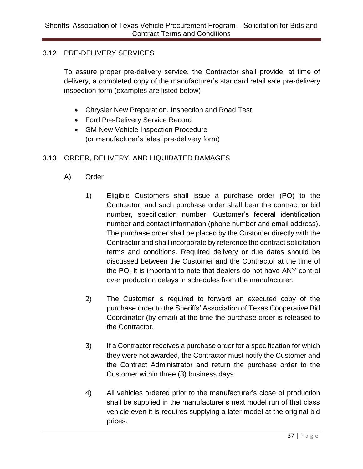# 3.12 PRE-DELIVERY SERVICES

To assure proper pre-delivery service, the Contractor shall provide, at time of delivery, a completed copy of the manufacturer's standard retail sale pre-delivery inspection form (examples are listed below)

- Chrysler New Preparation, Inspection and Road Test
- Ford Pre-Delivery Service Record
- GM New Vehicle Inspection Procedure (or manufacturer's latest pre-delivery form)

# 3.13 ORDER, DELIVERY, AND LIQUIDATED DAMAGES

- A) Order
	- 1) Eligible Customers shall issue a purchase order (PO) to the Contractor, and such purchase order shall bear the contract or bid number, specification number, Customer's federal identification number and contact information (phone number and email address). The purchase order shall be placed by the Customer directly with the Contractor and shall incorporate by reference the contract solicitation terms and conditions. Required delivery or due dates should be discussed between the Customer and the Contractor at the time of the PO. It is important to note that dealers do not have ANY control over production delays in schedules from the manufacturer.
	- 2) The Customer is required to forward an executed copy of the purchase order to the Sheriffs' Association of Texas Cooperative Bid Coordinator (by email) at the time the purchase order is released to the Contractor.
	- 3) If a Contractor receives a purchase order for a specification for which they were not awarded, the Contractor must notify the Customer and the Contract Administrator and return the purchase order to the Customer within three (3) business days.
	- 4) All vehicles ordered prior to the manufacturer's close of production shall be supplied in the manufacturer's next model run of that class vehicle even it is requires supplying a later model at the original bid prices.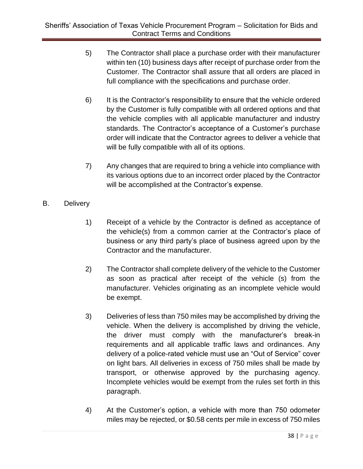- 5) The Contractor shall place a purchase order with their manufacturer within ten (10) business days after receipt of purchase order from the Customer. The Contractor shall assure that all orders are placed in full compliance with the specifications and purchase order.
- 6) It is the Contractor's responsibility to ensure that the vehicle ordered by the Customer is fully compatible with all ordered options and that the vehicle complies with all applicable manufacturer and industry standards. The Contractor's acceptance of a Customer's purchase order will indicate that the Contractor agrees to deliver a vehicle that will be fully compatible with all of its options.
- 7) Any changes that are required to bring a vehicle into compliance with its various options due to an incorrect order placed by the Contractor will be accomplished at the Contractor's expense.
- B. Delivery
	- 1) Receipt of a vehicle by the Contractor is defined as acceptance of the vehicle(s) from a common carrier at the Contractor's place of business or any third party's place of business agreed upon by the Contractor and the manufacturer.
	- 2) The Contractor shall complete delivery of the vehicle to the Customer as soon as practical after receipt of the vehicle (s) from the manufacturer. Vehicles originating as an incomplete vehicle would be exempt.
	- 3) Deliveries of less than 750 miles may be accomplished by driving the vehicle. When the delivery is accomplished by driving the vehicle, the driver must comply with the manufacturer's break-in requirements and all applicable traffic laws and ordinances. Any delivery of a police-rated vehicle must use an "Out of Service" cover on light bars. All deliveries in excess of 750 miles shall be made by transport, or otherwise approved by the purchasing agency. Incomplete vehicles would be exempt from the rules set forth in this paragraph.
	- 4) At the Customer's option, a vehicle with more than 750 odometer miles may be rejected, or \$0.58 cents per mile in excess of 750 miles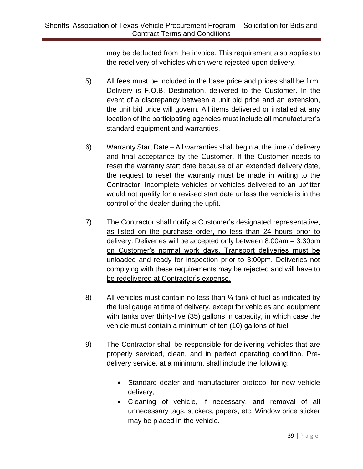may be deducted from the invoice. This requirement also applies to the redelivery of vehicles which were rejected upon delivery.

- 5) All fees must be included in the base price and prices shall be firm. Delivery is F.O.B. Destination, delivered to the Customer. In the event of a discrepancy between a unit bid price and an extension, the unit bid price will govern. All items delivered or installed at any location of the participating agencies must include all manufacturer's standard equipment and warranties.
- 6) Warranty Start Date All warranties shall begin at the time of delivery and final acceptance by the Customer. If the Customer needs to reset the warranty start date because of an extended delivery date, the request to reset the warranty must be made in writing to the Contractor. Incomplete vehicles or vehicles delivered to an upfitter would not qualify for a revised start date unless the vehicle is in the control of the dealer during the upfit.
- 7) The Contractor shall notify a Customer's designated representative, as listed on the purchase order, no less than 24 hours prior to delivery. Deliveries will be accepted only between 8:00am – 3:30pm on Customer's normal work days. Transport deliveries must be unloaded and ready for inspection prior to 3:00pm. Deliveries not complying with these requirements may be rejected and will have to be redelivered at Contractor's expense.
- 8) All vehicles must contain no less than 1/4 tank of fuel as indicated by the fuel gauge at time of delivery, except for vehicles and equipment with tanks over thirty-five (35) gallons in capacity, in which case the vehicle must contain a minimum of ten (10) gallons of fuel.
- 9) The Contractor shall be responsible for delivering vehicles that are properly serviced, clean, and in perfect operating condition. Predelivery service, at a minimum, shall include the following:
	- Standard dealer and manufacturer protocol for new vehicle delivery;
	- Cleaning of vehicle, if necessary, and removal of all unnecessary tags, stickers, papers, etc. Window price sticker may be placed in the vehicle.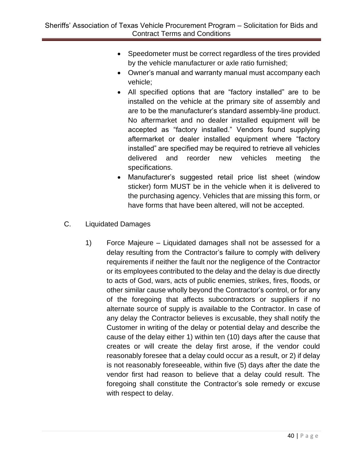- Speedometer must be correct regardless of the tires provided by the vehicle manufacturer or axle ratio furnished;
- Owner's manual and warranty manual must accompany each vehicle;
- All specified options that are "factory installed" are to be installed on the vehicle at the primary site of assembly and are to be the manufacturer's standard assembly-line product. No aftermarket and no dealer installed equipment will be accepted as "factory installed." Vendors found supplying aftermarket or dealer installed equipment where "factory installed" are specified may be required to retrieve all vehicles delivered and reorder new vehicles meeting the specifications.
- Manufacturer's suggested retail price list sheet (window sticker) form MUST be in the vehicle when it is delivered to the purchasing agency. Vehicles that are missing this form, or have forms that have been altered, will not be accepted.
- C. Liquidated Damages
	- 1) Force Majeure Liquidated damages shall not be assessed for a delay resulting from the Contractor's failure to comply with delivery requirements if neither the fault nor the negligence of the Contractor or its employees contributed to the delay and the delay is due directly to acts of God, wars, acts of public enemies, strikes, fires, floods, or other similar cause wholly beyond the Contractor's control, or for any of the foregoing that affects subcontractors or suppliers if no alternate source of supply is available to the Contractor. In case of any delay the Contractor believes is excusable, they shall notify the Customer in writing of the delay or potential delay and describe the cause of the delay either 1) within ten (10) days after the cause that creates or will create the delay first arose, if the vendor could reasonably foresee that a delay could occur as a result, or 2) if delay is not reasonably foreseeable, within five (5) days after the date the vendor first had reason to believe that a delay could result. The foregoing shall constitute the Contractor's sole remedy or excuse with respect to delay.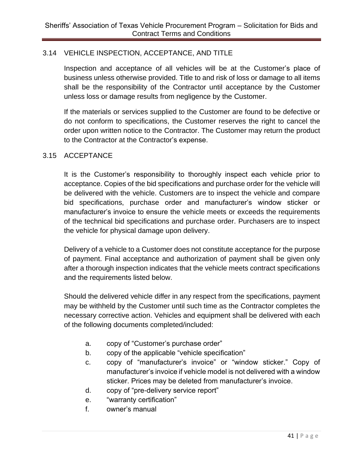# 3.14 VEHICLE INSPECTION, ACCEPTANCE, AND TITLE

Inspection and acceptance of all vehicles will be at the Customer's place of business unless otherwise provided. Title to and risk of loss or damage to all items shall be the responsibility of the Contractor until acceptance by the Customer unless loss or damage results from negligence by the Customer.

If the materials or services supplied to the Customer are found to be defective or do not conform to specifications, the Customer reserves the right to cancel the order upon written notice to the Contractor. The Customer may return the product to the Contractor at the Contractor's expense.

#### 3.15 ACCEPTANCE

It is the Customer's responsibility to thoroughly inspect each vehicle prior to acceptance. Copies of the bid specifications and purchase order for the vehicle will be delivered with the vehicle. Customers are to inspect the vehicle and compare bid specifications, purchase order and manufacturer's window sticker or manufacturer's invoice to ensure the vehicle meets or exceeds the requirements of the technical bid specifications and purchase order. Purchasers are to inspect the vehicle for physical damage upon delivery.

Delivery of a vehicle to a Customer does not constitute acceptance for the purpose of payment. Final acceptance and authorization of payment shall be given only after a thorough inspection indicates that the vehicle meets contract specifications and the requirements listed below.

Should the delivered vehicle differ in any respect from the specifications, payment may be withheld by the Customer until such time as the Contractor completes the necessary corrective action. Vehicles and equipment shall be delivered with each of the following documents completed/included:

- a. copy of "Customer's purchase order"
- b. copy of the applicable "vehicle specification"
- c. copy of "manufacturer's invoice" or "window sticker." Copy of manufacturer's invoice if vehicle model is not delivered with a window sticker. Prices may be deleted from manufacturer's invoice.
- d. copy of "pre-delivery service report"
- e. "warranty certification"
- f. owner's manual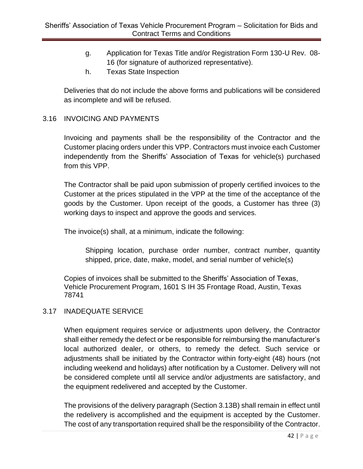- g. Application for Texas Title and/or Registration Form 130-U Rev. 08- 16 (for signature of authorized representative).
- h. Texas State Inspection

Deliveries that do not include the above forms and publications will be considered as incomplete and will be refused.

#### 3.16 INVOICING AND PAYMENTS

Invoicing and payments shall be the responsibility of the Contractor and the Customer placing orders under this VPP. Contractors must invoice each Customer independently from the Sheriffs' Association of Texas for vehicle(s) purchased from this VPP.

The Contractor shall be paid upon submission of properly certified invoices to the Customer at the prices stipulated in the VPP at the time of the acceptance of the goods by the Customer. Upon receipt of the goods, a Customer has three (3) working days to inspect and approve the goods and services.

The invoice(s) shall, at a minimum, indicate the following:

Shipping location, purchase order number, contract number, quantity shipped, price, date, make, model, and serial number of vehicle(s)

Copies of invoices shall be submitted to the Sheriffs' Association of Texas, Vehicle Procurement Program, 1601 S IH 35 Frontage Road, Austin, Texas 78741

#### 3.17 INADEQUATE SERVICE

When equipment requires service or adjustments upon delivery, the Contractor shall either remedy the defect or be responsible for reimbursing the manufacturer's local authorized dealer, or others, to remedy the defect. Such service or adjustments shall be initiated by the Contractor within forty-eight (48) hours (not including weekend and holidays) after notification by a Customer. Delivery will not be considered complete until all service and/or adjustments are satisfactory, and the equipment redelivered and accepted by the Customer.

The provisions of the delivery paragraph (Section 3.13B) shall remain in effect until the redelivery is accomplished and the equipment is accepted by the Customer. The cost of any transportation required shall be the responsibility of the Contractor.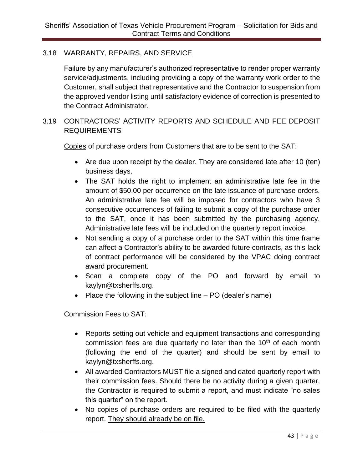#### 3.18 WARRANTY, REPAIRS, AND SERVICE

Failure by any manufacturer's authorized representative to render proper warranty service/adjustments, including providing a copy of the warranty work order to the Customer, shall subject that representative and the Contractor to suspension from the approved vendor listing until satisfactory evidence of correction is presented to the Contract Administrator.

# 3.19 CONTRACTORS' ACTIVITY REPORTS AND SCHEDULE AND FEE DEPOSIT REQUIREMENTS

Copies of purchase orders from Customers that are to be sent to the SAT:

- Are due upon receipt by the dealer. They are considered late after 10 (ten) business days.
- The SAT holds the right to implement an administrative late fee in the amount of \$50.00 per occurrence on the late issuance of purchase orders. An administrative late fee will be imposed for contractors who have 3 consecutive occurrences of failing to submit a copy of the purchase order to the SAT, once it has been submitted by the purchasing agency. Administrative late fees will be included on the quarterly report invoice.
- Not sending a copy of a purchase order to the SAT within this time frame can affect a Contractor's ability to be awarded future contracts, as this lack of contract performance will be considered by the VPAC doing contract award procurement.
- Scan a complete copy of the PO and forward by email to kaylyn@txsherffs.org.
- Place the following in the subject line PO (dealer's name)

Commission Fees to SAT:

- Reports setting out vehicle and equipment transactions and corresponding commission fees are due quarterly no later than the  $10<sup>th</sup>$  of each month (following the end of the quarter) and should be sent by email to kaylyn@txsherffs.org.
- All awarded Contractors MUST file a signed and dated quarterly report with their commission fees. Should there be no activity during a given quarter, the Contractor is required to submit a report, and must indicate "no sales this quarter" on the report.
- No copies of purchase orders are required to be filed with the quarterly report. They should already be on file.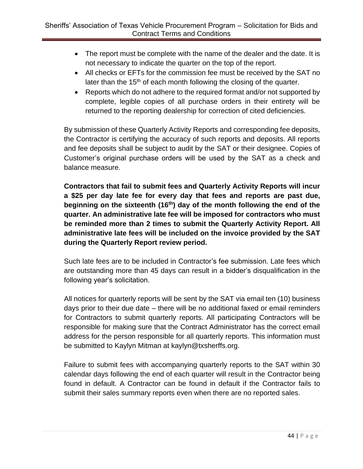- The report must be complete with the name of the dealer and the date. It is not necessary to indicate the quarter on the top of the report.
- All checks or EFTs for the commission fee must be received by the SAT no later than the  $15<sup>th</sup>$  of each month following the closing of the quarter.
- Reports which do not adhere to the required format and/or not supported by complete, legible copies of all purchase orders in their entirety will be returned to the reporting dealership for correction of cited deficiencies.

By submission of these Quarterly Activity Reports and corresponding fee deposits, the Contractor is certifying the accuracy of such reports and deposits. All reports and fee deposits shall be subject to audit by the SAT or their designee. Copies of Customer's original purchase orders will be used by the SAT as a check and balance measure.

**Contractors that fail to submit fees and Quarterly Activity Reports will incur a \$25 per day late fee for every day that fees and reports are past due, beginning on the sixteenth (16 th) day of the month following the end of the quarter. An administrative late fee will be imposed for contractors who must be reminded more than 2 times to submit the Quarterly Activity Report. All administrative late fees will be included on the invoice provided by the SAT during the Quarterly Report review period.**

Such late fees are to be included in Contractor's fee submission. Late fees which are outstanding more than 45 days can result in a bidder's disqualification in the following year's solicitation.

All notices for quarterly reports will be sent by the SAT via email ten (10) business days prior to their due date – there will be no additional faxed or email reminders for Contractors to submit quarterly reports. All participating Contractors will be responsible for making sure that the Contract Administrator has the correct email address for the person responsible for all quarterly reports. This information must be submitted to Kaylyn Mitman at kaylyn@txsherffs.org.

Failure to submit fees with accompanying quarterly reports to the SAT within 30 calendar days following the end of each quarter will result in the Contractor being found in default. A Contractor can be found in default if the Contractor fails to submit their sales summary reports even when there are no reported sales.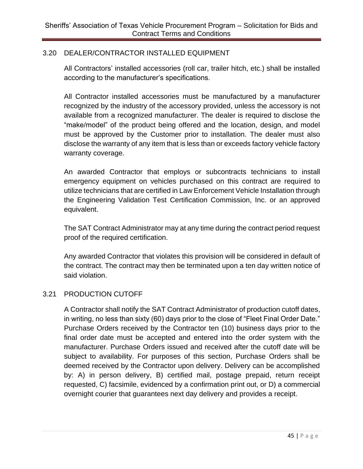# 3.20 DEALER/CONTRACTOR INSTALLED EQUIPMENT

All Contractors' installed accessories (roll car, trailer hitch, etc.) shall be installed according to the manufacturer's specifications.

All Contractor installed accessories must be manufactured by a manufacturer recognized by the industry of the accessory provided, unless the accessory is not available from a recognized manufacturer. The dealer is required to disclose the "make/model" of the product being offered and the location, design, and model must be approved by the Customer prior to installation. The dealer must also disclose the warranty of any item that is less than or exceeds factory vehicle factory warranty coverage.

An awarded Contractor that employs or subcontracts technicians to install emergency equipment on vehicles purchased on this contract are required to utilize technicians that are certified in Law Enforcement Vehicle Installation through the Engineering Validation Test Certification Commission, Inc. or an approved equivalent.

The SAT Contract Administrator may at any time during the contract period request proof of the required certification.

Any awarded Contractor that violates this provision will be considered in default of the contract. The contract may then be terminated upon a ten day written notice of said violation.

#### 3.21 PRODUCTION CUTOFF

A Contractor shall notify the SAT Contract Administrator of production cutoff dates, in writing, no less than sixty (60) days prior to the close of "Fleet Final Order Date." Purchase Orders received by the Contractor ten (10) business days prior to the final order date must be accepted and entered into the order system with the manufacturer. Purchase Orders issued and received after the cutoff date will be subject to availability. For purposes of this section, Purchase Orders shall be deemed received by the Contractor upon delivery. Delivery can be accomplished by: A) in person delivery, B) certified mail, postage prepaid, return receipt requested, C) facsimile, evidenced by a confirmation print out, or D) a commercial overnight courier that guarantees next day delivery and provides a receipt.